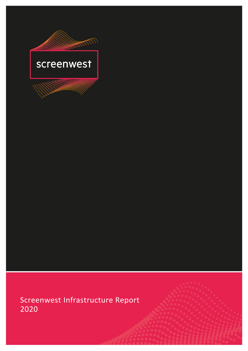

# Screenwest Infrastructure Report 2020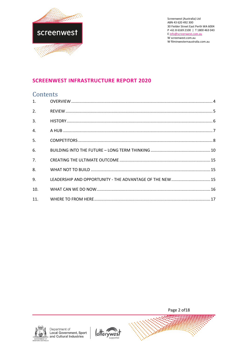

Screenwest (Australia) Ltd ABN 43 620 492 300 30 Fielder Street East Perth WA 6004 P+61 8 6169 2100 | T 1800 463 043 E info@screenwest.com.au W screenwest.com.au W filminwesternaustralia.com.au

# **SCREENWEST INFRASTRUCTURE REPORT 2020**

# Contents

| 1.             |                                                           |  |
|----------------|-----------------------------------------------------------|--|
| 2.             |                                                           |  |
| 3.             |                                                           |  |
| $\mathbf{4}$ . |                                                           |  |
| 5.             |                                                           |  |
| 6.             |                                                           |  |
| 7 <sub>1</sub> |                                                           |  |
| 8.             |                                                           |  |
| 9.             | LEADERSHIP AND OPPORTUNITY - THE ADVANTAGE OF THE NEW  15 |  |
| 10.            |                                                           |  |
| 11.            |                                                           |  |







Page 2 of 18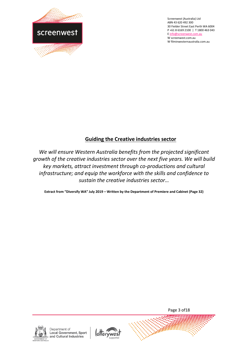

Screenwest (Australia) Ltd ABN 43 620 492 300 30 Fielder Street East Perth WA 6004 P +61 8 6169 2100 | T 1800 463 043 E [info@screenwest.com.au](mailto:info@screenwest.com.au) W screenwest.com.au W filminwesternaustralia.com.au

# **Guiding the Creative industries sector**

*We will ensure Western Australia benefits from the projected significant growth of the creative industries sector over the next five years. We will build key markets, attract investment through co-productions and cultural infrastructure; and equip the workforce with the skills and confidence to sustain the creative industries sector…*

**Extract from "Diversify WA" July 2019 – Written by the Department of Premiere and Cabinet (Page 32)**







Page 3 of18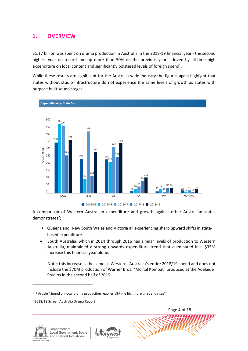# <span id="page-3-0"></span>**1. OVERVIEW**

\$1.17 billion was spent on drama production in Australia in the 2018-19 financial year - the second highest year on record and up more than 50% on the previous year - driven by all-time high expenditure on local content and significantly bolstered levels of foreign spend<sup>1</sup>.

While these results are significant for the Australia-wide industry the figures again highlight that states without studio infrastructure do not experience the same levels of growth as states with purpose built sound stages.



A comparison of Western Australian expenditure and growth against other Australian states demonstrates<sup>2</sup>;

- Queensland, New South Wales and Victoria all experiencing sharp upward shifts in statebased expenditure.
- South Australia, which in 2014 through 2016 had similar levels of production to Western Australia, maintained a strong upwards expenditure trend that culminated in a \$35M increase this financial year alone.

Note: this increase is the same as Westerns Australia's entire 2018/19 spend and does not include the \$70M production of Warner Bros. "Mortal Kombat" produced at the Adelaide Studios in the second half of 2019.

Page 4 of 18





<sup>&</sup>lt;sup>1</sup> IF Article "Spend on local drama production reaches all-time high, foreign spend rises"

<sup>2</sup> 2018/19 Screen Australia Drama Report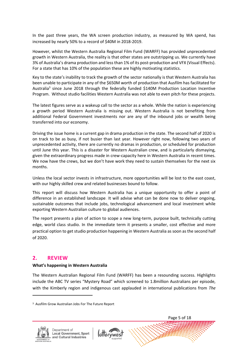In the past three years, the WA screen production industry, as measured by WA spend, has increased by nearly 50% to a record of \$40M in 2018-2019.

However, whilst the Western Australia Regional Film Fund (WARFF) has provided unprecedented growth in Western Australia, the reality is that other states are outstripping us. We currently have 3% of Australia's drama production and less than 1% of its post-production and VFX (Visual Effects). For a state that has 10% of the population these are highly motivating statistics.

Key to the state's inability to track the growth of the sector nationally is that Western Australia has been unable to participate in any of the \$650M worth of production that Ausfilm has facilitated for Australia<sup>3</sup> since June 2018 through the federally funded \$140M Production Location Incentive Program. Without studio facilities Western Australia was not able to even pitch for these projects.

The latest figures serve as a wakeup call to the sector as a whole. While the nation is experiencing a growth period Western Australia is missing out. Western Australia is not benefiting from additional Federal Government investments nor are any of the inbound jobs or wealth being transferred into our economy.

Driving the issue home is a current gap in drama production in the state. The second half of 2020 is on track to be as busy, if not busier than last year. However right now, following two years of unprecedented activity, there are currently no dramas in production, or scheduled for production until June this year. This is a disaster for Western Australian crew, and is particularly dismaying, given the extraordinary progress made in crew-capacity here in Western Australia in recent times. We now have the crews, but we don't have work they need to sustain themselves for the next six months.

Unless the local sector invests in infrastructure, more opportunities will be lost to the east coast, with our highly skilled crew and related businesses bound to follow.

This report will discuss how Western Australia has a unique opportunity to offer a point of difference in an established landscape. It will advise what can be done now to deliver ongoing, sustainable outcomes that include jobs, technological advancement and local investment while exporting Western Australian culture to global audiences.

<span id="page-4-0"></span>The report presents a plan of action to scope a new long-term, purpose built, technically cutting edge, world class studio. In the immediate term it presents a smaller, cost effective and more practical option to get studio production happening in Western Australia as soon as the second half of 2020.

#### **2. REVIEW**

#### **What's happening in Western Australia**

The Western Australian Regional Film Fund (WARFF) has been a resounding success. Highlights include the ABC TV series "Mystery Road" which screened to 1.8million Australians per episode, with the Kimberly region and indigenous cast applauded in international publications from *The* 

Page 5 of 18





<sup>3</sup> Ausfilm Grow Australian Jobs For The Future Report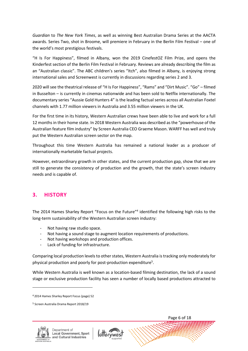*Guardian* to *The New York Times*, as well as winning Best Australian Drama Series at the AACTA awards. Series Two, shot in Broome, will premiere in February in the Berlin Film Festival – one of the world's most prestigious festivals.

"H Is For Happiness", filmed in Albany, won the 2019 CinefestOZ Film Prize, and opens the Kinderfest section of the Berlin Film Festival in February. Reviews are already describing the film as an "Australian classic". The ABC children's series "Itch", also filmed in Albany, is enjoying strong international sales and Screenwest is currently in discussions regarding series 2 and 3.

2020 will see the theatrical release of "H Is For Happiness", "Rams" and "Dirt Music". "Go" – filmed in Busselton – is currently in cinemas nationwide and has been sold to Netflix internationally. The documentary series "Aussie Gold Hunters 4" is the leading factual series across all Australian Foxtel channels with 1.77 million viewers in Australia and 3.55 million viewers in the UK.

For the first time in its history, Western Australian crews have been able to live and work for a full 12 months in their home state. In 2018 Western Australia was described as the "powerhouse of the Australian feature film industry" by Screen Australia CEO Graeme Mason. WARFF has well and truly put the Western Australian screen sector on the map.

Throughout this time Western Australia has remained a national leader as a producer of internationally marketable factual projects.

However, extraordinary growth in other states, and the current production gap, show that we are still to generate the consistency of production and the growth, that the state's screen industry needs and is capable of.

## <span id="page-5-0"></span>**3. HISTORY**

The 2014 Hames Sharley Report "Focus on the Future"<sup>4</sup> identified the following high risks to the long-term sustainability of the Western Australian screen industry:

- Not having raw studio space.
- Not having a sound stage to augment location requirements of productions.
- Not having workshops and production offices.
- Lack of funding for infrastructure.

Comparing local production levels to other states, Western Australia is tracking only moderately for physical production and poorly for post-production expenditure<sup>5</sup>.

While Western Australia is well known as a location-based filming destination, the lack of a sound stage or exclusive production facility has seen a number of locally based productions attracted to

Page 6 of 18





<sup>4</sup> 2014 Hames Sharley Report Focus (page) 52

<sup>5</sup> Screen Australia Drama Report 2018/19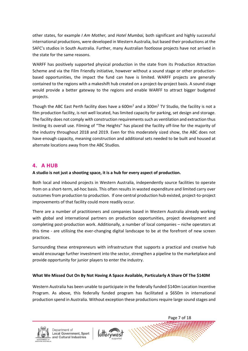other states, for example *I Am Mother,* and *Hotel Mumbai,* both significant and highly successful international productions, were developed in Western Australia, but based their productions at the SAFC's studios in South Australia. Further, many Australian footloose projects have not arrived in the state for the same reasons.

WARFF has positively supported physical production in the state from its Production Attraction Scheme and via the Film Friendly initiative, however without a sound stage or other productionbased opportunities, the impact the fund can have is limited. WARFF projects are generally contained to the regions with a makeshift hub created on a project-by-project basis. A sound stage would provide a better gateway to the regions and enable WARFF to attract bigger budgeted projects.

Though the ABC East Perth facility does have a  $600m^2$  and a 300m<sup>2</sup> TV Studio, the facility is not a film production facility, is not well located, has limited capacity for parking, set design and storage. The facility does not comply with construction requirements such as ventilation and extraction thus limiting its overall use. Filming of "The Heights" has placed the facility off-line for the majority of the industry throughout 2018 and 2019. Even for this moderately sized show, the ABC does not have enough capacity, meaning construction and additional sets needed to be built and housed at alternate locations away from the ABC Studios.

# <span id="page-6-0"></span>**4. A HUB**

#### **A studio is not just a shooting space, it is a hub for every aspect of production.**

Both local and inbound projects in Western Australia, independently source facilities to operate from on a short-term, ad-hoc basis. This often results in wasted expenditure and limited carry over outcomes from production to production. If one central production hub existed, project-to-project improvements of that facility could more readily occur.

There are a number of practitioners and companies based in Western Australia already working with global and international partners on production opportunities, project development and completing post-production work. Additionally, a number of local companies – niche operators at this time - are utilising the ever-changing digital landscape to be at the forefront of new screen practices.

Surrounding these entrepreneurs with infrastructure that supports a practical and creative hub would encourage further investment into the sector, strengthen a pipeline to the marketplace and provide opportunity for junior players to enter the industry.

#### **What We Missed Out On By Not Having A Space Available, Particularly A Share Of The \$140M**

Western Australia has been unable to participate in the federally funded \$140m Location Incentive Program. As above, this federally funded program has facilitated a \$650m in international production spend in Australia. Without exception these productions require large sound stages and

Page 7 of 18



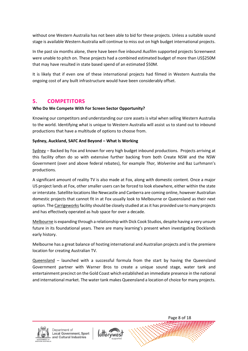without one Western Australia has not been able to bid for these projects. Unless a suitable sound stage is available Western Australia will continue to miss out on high budget international projects.

In the past six months alone, there have been five inbound Ausfilm supported projects Screenwest were unable to pitch on. These projects had a combined estimated budget of more than US\$250M that may have resulted in state based spend of an estimated \$50M.

It is likely that if even one of these international projects had filmed in Western Australia the ongoing cost of any built infrastructure would have been considerably offset.

### <span id="page-7-0"></span>**5. COMPETITORS**

#### **Who Do We Compete With For Screen Sector Opportunity?**

Knowing our competitors and understanding our core assets is vital when selling Western Australia to the world. Identifying what is unique to Western Australia will assist us to stand out to inbound productions that have a multitude of options to choose from.

#### **Sydney, Auckland, SAFC And Beyond – What Is Working**

Sydney – Backed by Fox and known for very high budget inbound productions. Projects arriving at this facility often do so with extensive further backing from both Create NSW and the NSW Government (over and above federal rebates), for example *Thor, Wolverine* and Baz Lurhmann's productions.

A significant amount of reality TV is also made at Fox, along with domestic content. Once a major US project lands at Fox, other smaller users can be forced to look elsewhere, either within the state or interstate. Satellite locations like Newcastle and Canberra are coming online, however Australian domestic projects that cannot fit in at Fox usually look to Melbourne or Queensland as their next option. The Carrigeworksfacility should be closely studied at as it has provided use to many projects and has effectively operated as hub space for over a decade.

Melbourne is expanding through a relationship with Dick Cook Studios, despite having a very unsure future in its foundational years. There are many learning's present when investigating Docklands early history.

Melbourne has a great balance of hosting international and Australian projects and is the premiere location for creating Australian TV.

Queensland – launched with a successful formula from the start by having the Queensland Government partner with Warner Bros to create a unique sound stage, water tank and entertainment precinct on the Gold Coast which established an immediate presence in the national and international market. The water tank makes Queensland a location of choice for many projects.

Page 8 of 18



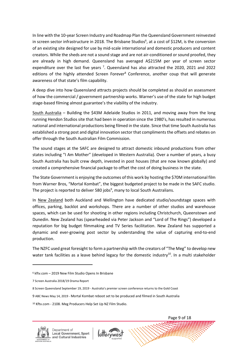In line with the 10-year Screen Industry and Roadmap Plan the Queensland Government reinvested in screen sector infrastructure in 2018. The Brisbane Studios<sup>6</sup>, at a cost of \$12M, is the conversion of an existing site designed for use by mid-scale international and domestic producers and content creators. While the sheds are not a sound stage and are not air-conditioned or sound proofed, they are already in high demand. Queensland has averaged A\$215M per year of screen sector expenditure over the last five years<sup>7</sup>. Queensland has also attracted the 2020, 2021 and 2022 editions of the highly attended Screen Forever<sup>8</sup> Conference, another coup that will generate awareness of that state's film capability.

A deep dive into how Queensland attracts projects should be completed as should an assessment of how the commercial / government partnership works. Warner's use of the state for high budget stage-based filming almost guarantee's the viability of the industry.

South Australia – Building the \$43M Adelaide Studios in 2011, and moving away from the long running Hendon Studios site that had been in operation since the 1980's, has resulted in numerous national and international productions being filmed in the state. Since that time South Australia has established a strong post and digital innovation sector that compliments the offsets and rebates on offer through the South Australian Film Commission.

The sound stages at the SAFC are designed to attract domestic inbound productions from other states including "I Am Mother" (developed in Western Australia). Over a number of years, a busy South Australia has built crew depth, invested in post houses (that are now known globally) and created a comprehensive financial package to offset the cost of doing business in the state.

The State Government is enjoying the outcomes of this work by hosting the \$70M international film from Warner Bros, "Mortal Kombat", the biggest budgeted project to be made in the SAFC studio. The project is reported to deliver 580 jobs<sup>9</sup>, many to local South Australians.

In New Zealand both Auckland and Wellington have dedicated studio/soundstage spaces with offices, parking, backlot and workshops. There are a number of other studios and warehouse spaces, which can be used for shooting in other regions including Christchurch, Queenstown and Dunedin. New Zealand has (spearheaded via Peter Jackson and "Lord of The Rings") developed a reputation for big budget filmmaking and TV Series facilitation. New Zealand has supported a dynamic and ever-growing post sector by understanding the value of capturing end-to-end production.

The NZFC used great foresight to form a partnership with the creators of "The Meg" to develop new water tank facilities as a leave behind legacy for the domestic industry<sup>10</sup>. In a multi stakeholder

Page 9 of 18





<sup>6</sup> kftv.com – 2019 New Film Studio Opens In Brisbane

<sup>7</sup> Screen Australia 2018/19 Drama Report

<sup>8</sup> Screen Queensland September 19, 2019 - Australia's premier screen conference returns to the Gold Coast

<sup>9</sup> ABC News May 14, 2019 - Mortal Kombat reboot set to be produced and filmed in South Australia

<sup>10</sup> Kftv.com - 2108. Meg Producers Help Set Up NZ Film Studio.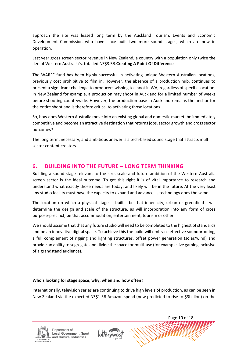approach the site was leased long term by the Auckland Tourism, Events and Economic Development Commission who have since built two more sound stages, which are now in operation.

Last year gross screen sector revenue in New Zealand, a country with a population only twice the size of Western Australia's, totalled NZ\$3.5B.**Creating A Point Of Difference**

The WARFF fund has been highly successful in activating unique Western Australian locations, previously cost prohibitive to film in. However, the absence of a production hub, continues to present a significant challenge to producers wishing to shoot in WA, regardless of specific location. In New Zealand for example, a production may shoot in Auckland for a limited number of weeks before shooting countrywide. However, the production base in Auckland remains the anchor for the entire shoot and is therefore critical to activating those locations.

So, how does Western Australia move into an existing global and domestic market, be immediately competitive and become an attractive destination that returns jobs, sector growth and cross sector outcomes?

The long term, necessary, and ambitious answer is a tech-based sound stage that attracts multi sector content creators.

## <span id="page-9-0"></span>**6. BUILDING INTO THE FUTURE – LONG TERM THINKING**

Building a sound stage relevant to the size, scale and future ambition of the Western Australia screen sector is the ideal outcome. To get this right it is of vital importance to research and understand what exactly those needs are today, and likely will be in the future. At the very least any studio facility must have the capacity to expand and advance as technology does the same.

The location on which a physical stage is built - be that inner city, urban or greenfield - will determine the design and scale of the structure, as will incorporation into any form of cross purpose-precinct, be that accommodation, entertainment, tourism or other.

We should assume that that any future studio will need to be completed to the highest of standards and be an innovative digital space. To achieve this the build will embrace effective soundproofing, a full complement of rigging and lighting structures, offset power generation (solar/wind) and provide an ability to segregate and divide the space for multi-use (for example live gaming inclusive of a grandstand audience).

#### **Who's looking for stage space, why, when and how often?**

Internationally, television series are continuing to drive high levels of production, as can be seen in New Zealand via the expected NZ\$1.3B Amazon spend (now predicted to rise to \$3billion) on the

Page 10 of 18



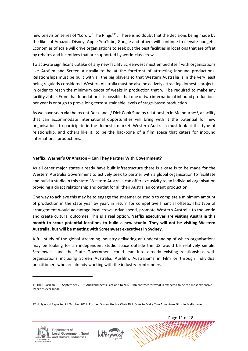new television series of "Lord Of The Rings"<sup>11</sup>. There is no doubt that the decisions being made by the likes of Amazon, Disney, Apple YouTube, Google and others will continue to elevate budgets. Economies of scale will drive organisations to seek out the best facilities in locations that are offset by rebates and incentives that are supported by world-class crew.

To activate significant uptake of any new facility Screenwest must embed itself with organisations like Ausfilm and Screen Australia to be at the forefront of attracting inbound productions. Relationships must be built with all the big players so that Western Australia is in the very least being regularly considered. Western Australia must be also be actively attracting domestic projects in order to reach the minimum quota of weeks in production that will be required to make any facility viable. From that foundation it is possible that one or two international inbound productions per year is enough to prove long-term sustainable levels of stage-based production.

As we have seen via the recent Docklands / Dick Cook Studios relationship in Melbourne<sup>12</sup>, a facility that can accommodate international opportunities will bring with it the potential for new organisations to participate in the domestic market. Western Australia must look at this type of relationship, and others like it, to be the backbone of a film space that caters for inbound international productions.

#### **Netflix, Warner's Or Amazon – Can They Partner With Government?**

As all other major states already have built infrastructure there is a case is to be made for the Western Australia Government to actively seek to partner with a global organisation to facilitate and build a studio in this state. Western Australia can offer exclusivity to an individual organisation providing a direct relationship and outlet for all their Australian content production.

One way to achieve this may be to engage the streamer or studio to complete a minimum amount of production in the state year by year, in return for competitive financial offsets. This type of arrangement would advantage local crews, drive spend, promote Western Australia to the world and create cultural outcomes. This is a real option. **Netflix executives are visiting Australia this month to scout potential locations to build a new studio. They will not be visiting Western Australia, but will be meeting with Screenwest executives in Sydney.**

A full study of the global streaming industry delivering an understanding of which organisations may be looking for an independent studio space outside the US would be relatively simple. Screenwest and the State Government could lean into already existing relationships with organisations including Screen Australia, Ausfilm, Australian's in Film or through individual practitioners who are already working with the industry frontrunners.

Page 11 of 18





<sup>11</sup> The Guardian – 18 September 2019. Auckland beats Scotland to NZ\$1.3bn contract for what is expected to be the most expensive TV series ever made.

<sup>12</sup> Hollywood Reporter 21 October 2019. Former Disney Studios Chair Dick Cook to Make Two Adventure Films in Melbourne.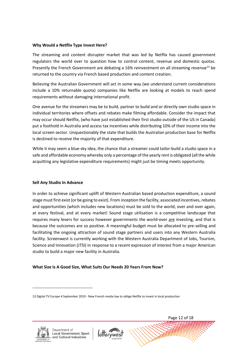#### **Why Would a Netflix Type Invest Here?**

The streaming and content disrupter market that was led by Netflix has caused government regulators the world over to question how to control content, revenue and domestic quotas. Presently the French Government are debating a 16% reinvestment on all streaming revenue<sup>13</sup> be returned to the country via French based production and content creation.

Believing the Australian Government will act in some way (we understand current considerations include a 10% returnable quota) companies like Netflix are looking at models to reach spend requirements without damaging international profit.

One avenue for the streamers may be to build, partner to build and or directly own studio space in individual territories where offsets and rebates make filming affordable. Consider the impact that may occur should Netflix, (who have just established their first studio outside of the US in Canada) put a foothold in Australia and access tax incentives while distributing 10% of their income into the local screen sector. Unquestionably the state that builds the Australian production base for Netflix is destined to receive the majority of that expenditure.

While it may seem a blue-sky idea, the chance that a streamer could tailor-build a studio space in a safe and affordable economy whereby only a percentage of the yearly rent is obligated (all the while acquitting any legislative expenditure requirements) might just be timing meets opportunity.

#### **Sell Any Studio In Advance**

In order to achieve significant uplift of Western Australian based production expenditure, a sound stage must first exist (or be going to exist). From inception the facility, associated incentives, rebates and opportunities (which includes new locations) must be sold to the world, over and over again, at every festival, and at every market! Sound stage utilisation is a competitive landscape that requires many levers for success however governments the world-over are investing, and that is because the outcomes are so positive. A meaningful budget must be allocated to pre-selling and facilitating the ongoing attraction of sound stage partners and users into any Western Australia facility. Screenwest is currently working with the Western Australia Department of Jobs, Tourism, Science and Innovation (JTSI) in response to a recent expression of interest from a major American studio to build a major new facility in Australia.

#### **What Size Is A Good Size, What Suits Our Needs 20 Years From Now?**





Page 12 of 18

<sup>13</sup> Digital TV Europe 4 September 2019 - New French media law to oblige Netflix to invest in local production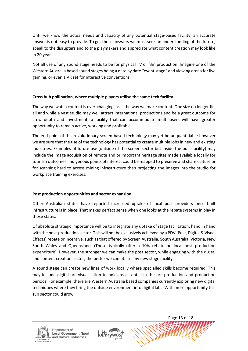Until we know the actual needs and capacity of any potential stage-based facility, an accurate answer is not easy to provide. To get those answers we must seek an understanding of the future, speak to the disrupters and to the playmakers and appreciate what content creation may look like in 20 years.

Not all use of any sound stage needs to be for physical TV or film production. Imagine one of the Western Australia based sound stages being a date by date "event stage" and viewing arena for live gaming, or even a VR set for interactive conventions.

#### **Cross hub pollination, where multiple players utilise the same tech facility**

The way we watch content is ever-changing, as is the way we make content. One size no longer fits all and while a vast studio may well attract international productions and be a great outcome for crew depth and investment, a facility that can accommodate multi users will have greater opportunity to remain active, working and profitable.

The end point of this revolutionary screen-based technology may yet be unquantifiable however we are sure that the use of the technology has potential to create multiple jobs in new and existing industries. Examples of future use (outside of the screen sector but inside the built facility) may include the image acquisition of remote and or important heritage sites made available locally for tourism outcomes. Indigenous points of interest could be mapped to preserve and share culture or for scanning hard to access mining infrastructure then projecting the images into the studio for workplace training exercises.

#### **Post production opportunities and sector expansion**

Other Australian states have reported increased uptake of local post providers once built infrastructure is in place. That makes perfect sense when one looks at the rebate systems in play in those states.

Of absolute strategic importance will be to integrate any uptake of stage facilitation, hand in hand with the post-production sector. This will not be exclusively achieved by a PDV (Post, Digital & Visual Effects) rebate or incentive, such as that offered by Screen Australia, South Australia, Victoria, New South Wales and Queensland. (These typically offer a 10% rebate on local post production expenditure). However, the stronger we can make the post sector, while engaging with the digital and content creation sector, the better we can utilise any new stage facility.

A sound stage can create new lines of work locally where specialled skills become required. This may include digital pre-visualisation technicians essential in the pre-production and production periods. For example, there are Western Australia based companies currently exploring new digital techniques where they bring the outside environment into digital labs. With more opportunity this sub sector could grow.





Page 13 of 18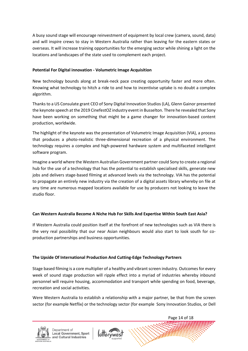A busy sound stage will encourage reinvestment of equipment by local crew (camera, sound, data) and will inspire crews to stay in Western Australia rather than leaving for the eastern states or overseas. It will increase training opportunities for the emerging sector while shining a light on the locations and landscapes of the state used to complement each project.

#### **Potential For Digital innovation - Volumetric Image Acquisition**

New technology bounds along at break-neck pace creating opportunity faster and more often. Knowing what technology to hitch a ride to and how to incentivise uptake is no doubt a complex algorithm.

Thanks to a US Consulate grant CEO of Sony Digital Innovation Studios (LA), Glenn Gainor presented the keynote speech at the 2019 CinefestOZ industry event in Busselton. There he revealed that Sony have been working on something that might be a game changer for innovation-based content production, worldwide.

The highlight of the keynote was the presentation of Volumetric Image Acquisition (VIA), a process that produces a photo-realistic three-dimensional recreation of a physical environment. The technology requires a complex and high-powered hardware system and multifaceted intelligent software program.

Imagine a world where the Western Australian Government partner could Sony to create a regional hub for the use of a technology that has the potential to establish specialised skills, generate new jobs and delivers stage-based filming at advanced levels via the technology. VIA has the potential to propagate an entirely new industry via the creation of a digital assets library whereby on file at any time are numerous mapped locations available for use by producers not looking to leave the studio floor.

#### **Can Western Australia Become A Niche Hub For Skills And Expertise Within South East Asia?**

If Western Australia could position itself at the forefront of new technologies such as VIA there is the very real possibility that our near Asian neighbours would also start to look south for coproduction partnerships and business opportunities.

#### **The Upside Of International Production And Cutting-Edge Technology Partners**

Stage based filming is a core multiplier of a healthy and vibrant screen industry. Outcomes for every week of sound stage production will ripple effect into a myriad of industries whereby inbound personnel will require housing, accommodation and transport while spending on food, beverage, recreation and social activities.

Were Western Australia to establish a relationship with a major partner, be that from the screen sector (for example Netflix) or the technology sector (for example Sony Innovation Studios, or Dell



Department of ocal Government, Sport and Cultural Industries



Page 14 of 18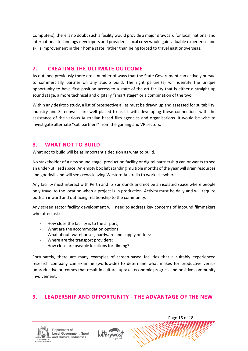Computers), there is no doubt such a facility would provide a major drawcard for local, national and international technology developers and providers. Local crew would gain valuable experience and skills improvement in their home state, rather than being forced to travel east or overseas.

# <span id="page-14-0"></span>**7. CREATING THE ULTIMATE OUTCOME**

As outlined previously there are a number of ways that the State Government can actively pursue to commercially partner on any studio build. The right partner(s) will identify the unique opportunity to have first position access to a state-of-the-art facility that is either a straight up sound stage, a more technical and digitally "smart stage" or a combination of the two.

Within any desktop study, a list of prospective allies must be drawn up and assessed for suitability. Industry and Screenwest are well placed to assist with developing these connections with the assistance of the various Australian based film agencies and organisations. It would be wise to investigate alternate "sub partners" from the gaming and VR sectors.

# <span id="page-14-1"></span>**8. WHAT NOT TO BUILD**

What not to build will be as important a decision as what to build.

No stakeholder of a new sound stage, production facility or digital partnership can or wants to see an under-utilised space. An empty box left standing multiple months of the year will drain resources and goodwill and will see crews leaving Western Australia to work elsewhere.

Any facility must interact with Perth and its surrounds and not be an isolated space where people only travel to the location when a project is in production. Activity must be daily and will require both an inward and outfacing relationship to the community.

Any screen sector facility development will need to address key concerns of inbound filmmakers who often ask:

- How close the facility is to the airport;
- What are the accommodation options;
- What about, warehouses, hardware and supply outlets;
- Where are the transport providers:
- How close are useable locations for filming?

Fortunately, there are many examples of screen-based facilities that a suitably experienced research company can examine (worldwide) to determine what makes for productive versus unproductive outcomes that result in cultural uptake, economic progress and positive community involvement.

# <span id="page-14-2"></span>**9. LEADERSHIP AND OPPORTUNITY - THE ADVANTAGE OF THE NEW**

Page 15 of 18



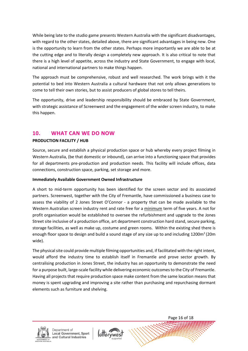While being late to the studio game presents Western Australia with the significant disadvantages, with regard to the other states, detailed above, there are significant advantages in being new. One is the opportunity to learn from the other states. Perhaps more importantly we are able to be at the cutting edge and to literally design a completely new approach. It is also critical to note that there is a high level of appetite, across the industry and State Government, to engage with local, national and international partners to make things happen.

The approach must be comprehensive, robust and well researched. The work brings with it the potential to bed into Western Australia a cultural hardware that not only allows generations to come to tell their own stories, but to assist producers of global stores to tell theirs.

The opportunity, drive and leadership responsibility should be embraced by State Government, with strategic assistance of Screenwest and the engagement of the wider screen industry, to make this happen.

# <span id="page-15-0"></span>**10. WHAT CAN WE DO NOW**

#### **PRODUCTION FACILITY / HUB**

Source, secure and establish a physical production space or hub whereby every project filming in Western Australia, (be that domestic or inbound), can arrive into a functioning space that provides for all departments pre-production and production needs. This facility will include offices, data connections, construction space, parking, set storage and more.

#### **Immediately Available Government Owned Infrastructure**

A short to mid-term opportunity has been identified for the screen sector and its associated partners. Screenwest, together with the City of Fremantle, have commissioned a business case to assess the viability of 2 Jones Street O'Connor - a property that can be made available to the Western Australian screen industry rent and rate free for a minimum term of five years. A not for profit organisation would be established to oversee the refurbishment and upgrade to the Jones Street site inclusive of a production office, art department construction hard stand, secure parking, storage facilities, as well as make up, costume and green rooms. Within the existing shed there is enough floor space to design and build a sound stage of any size up to and including 1200m<sup>2</sup> (20m wide).

The physical site could provide multiple filming opportunities and, if facilitated with the right intent, would afford the industry time to establish itself in Fremantle and prove sector growth. By centralising production in Jones Street, the industry has an opportunity to demonstrate the need for a purpose built, large-scale facility while delivering economic outcomes to the City of Fremantle. Having all projects that require production space make content from the same location means that money is spent upgrading and improving a site rather than purchasing and repurchasing dormant elements such as furniture and shelving.



Department of **Local Government, Sport** and Cultural Industries



Page 16 of 18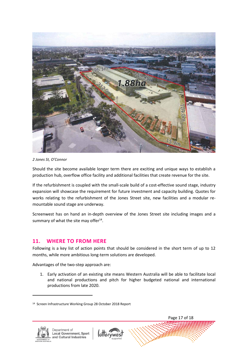

#### *2 Jones St, O'Connor*

Should the site become available longer term there are exciting and unique ways to establish a production hub, overflow office facility and additional facilities that create revenue for the site.

If the refurbishment is coupled with the small-scale build of a cost-effective sound stage, industry expansion will showcase the requirement for future investment and capacity building. Quotes for works relating to the refurbishment of the Jones Street site, new facilities and a modular remountable sound stage are underway.

Screenwest has on hand an in-depth overview of the Jones Street site including images and a summary of what the site may offer<sup>14</sup>.

## <span id="page-16-0"></span>**11. WHERE TO FROM HERE**

Following is a key list of action points that should be considered in the short term of up to 12 months, while more ambitious long-term solutions are developed.

Advantages of the two-step approach are:

1. Early activation of an existing site means Western Australia will be able to facilitate local and national productions and pitch for higher budgeted national and international productions from late 2020.

Page 17 of 18





<sup>14</sup> Screen Infrastructure Working Group 28 October 2018 Report